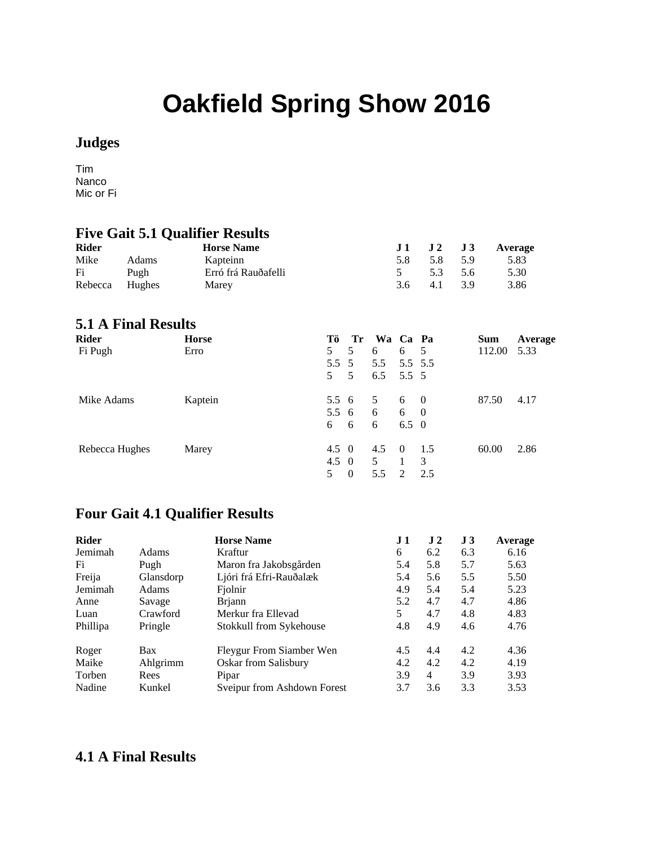# **Oakfield Spring Show 2016**

#### **Judges**

Tim Nanco Mic or Fi

#### **Five Gait 5.1 Qualifier Results**

| <b>Rider</b>   |       | <b>Horse Name</b>   |     |                           | $J1$ $J2$ $J3$ Average |
|----------------|-------|---------------------|-----|---------------------------|------------------------|
| Mike           | Adams | Kapteinn            | 5.8 | 5.8 5.9                   | 5.83                   |
| Fi             | Pugh  | Erró frá Rauðafelli |     | 5.3 5.6                   | 5.30                   |
| Rebecca Hughes |       | Marev               |     | $3.6 \quad 4.1 \quad 3.9$ | 3.86                   |

#### **5.1 A Final Results**

| <b>Rider</b>   | <b>Horse</b> | Tö            | Tr       | Wa Ca Pa       |                |     | <b>Sum</b> | Average |
|----------------|--------------|---------------|----------|----------------|----------------|-----|------------|---------|
| Fi Pugh        | Erro         | 5 5           |          | 6              | 6 5            |     | 112.00     | 5.33    |
|                |              | $5.5\ 5$      |          | 5.5            | 5.5 5.5        |     |            |         |
|                |              | $5\quad 5$    |          | 6.5 5.5 5      |                |     |            |         |
| Mike Adams     | Kaptein      | 5.5 6         |          | 5 <sup>5</sup> | 6 0            |     | 87.50      | 4.17    |
|                |              | $5.5\quad 6$  |          | 6              | 6 0            |     |            |         |
|                |              | 6             | 6        | 6              | $6.5 \quad 0$  |     |            |         |
| Rebecca Hughes | Marey        | $4.5 \quad 0$ |          | 4.5            | $\overline{0}$ | 1.5 | 60.00      | 2.86    |
|                |              | $4.5 \quad 0$ |          | 5              | $\mathbf{1}$   | 3   |            |         |
|                |              | 5             | $\theta$ | 5.5            | 2              | 2.5 |            |         |

## **Four Gait 4.1 Qualifier Results**

| <b>Rider</b> |              | <b>Horse Name</b>           | .I 1 | $\bf{J}$ 2     | J <sub>3</sub> | Average |
|--------------|--------------|-----------------------------|------|----------------|----------------|---------|
| Jemimah      | <b>Adams</b> | Kraftur                     | 6    | 6.2            | 6.3            | 6.16    |
| Fi           | Pugh         | Maron fra Jakobsgården      | 5.4  | 5.8            | 5.7            | 5.63    |
| Freija       | Glansdorp    | Ljóri frá Efri-Rauðalæk     | 5.4  | 5.6            | 5.5            | 5.50    |
| Jemimah      | <b>Adams</b> | Fiolnir                     | 4.9  | 5.4            | 5.4            | 5.23    |
| Anne         | Savage       | <b>Briann</b>               | 5.2  | 4.7            | 4.7            | 4.86    |
| Luan         | Crawford     | Merkur fra Ellevad          | 5    | 4.7            | 4.8            | 4.83    |
| Phillipa     | Pringle      | Stokkull from Sykehouse     | 4.8  | 4.9            | 4.6            | 4.76    |
| Roger        | Bax          | Fleygur From Siamber Wen    | 4.5  | 4.4            | 4.2            | 4.36    |
| Maike        | Ahlgrimm     | Oskar from Salisbury        | 4.2  | 4.2            | 4.2            | 4.19    |
| Torben       | Rees         | Pipar                       | 3.9  | $\overline{4}$ | 3.9            | 3.93    |
| Nadine       | Kunkel       | Sveipur from Ashdown Forest | 3.7  | 3.6            | 3.3            | 3.53    |

#### **4.1 A Final Results**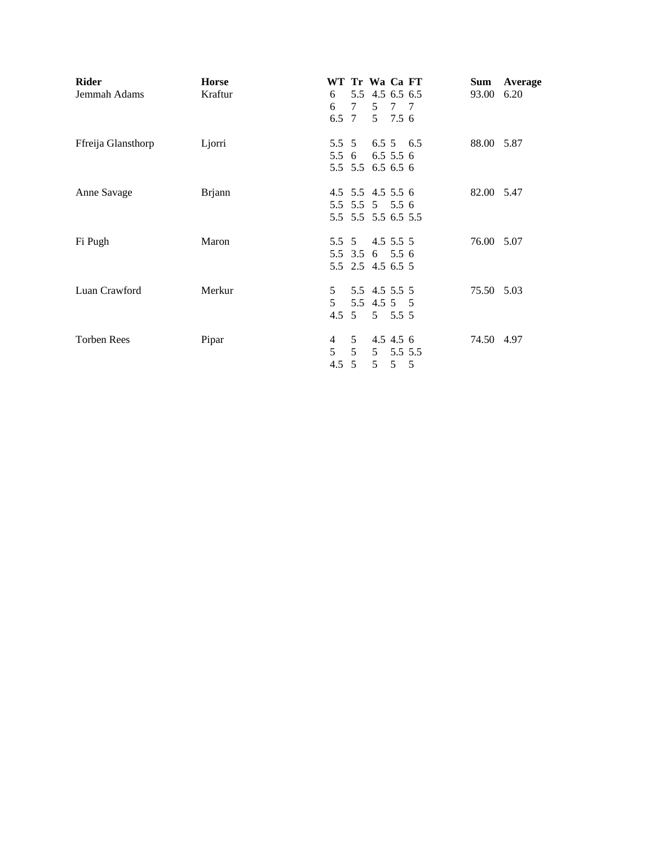| <b>Rider</b><br>Jemmah Adams | <b>Horse</b><br>Kraftur | WT Tr Wa Ca FT<br>6<br>6<br>6.5 7                | 7                                                       | 5.5 4.5 6.5 6.5<br>5 | $7\phantom{0}$<br>5 7.5 6                  | - 7 | Sum<br>93.00 6.20 | Average |
|------------------------------|-------------------------|--------------------------------------------------|---------------------------------------------------------|----------------------|--------------------------------------------|-----|-------------------|---------|
| Ffreija Glansthorp           | Ljorri                  | 5.5 5                                            | 5.5 6<br>5.5 5.5 6.5 6.5 6                              | 6.5 5.5 6            | 6.5 5 6.5                                  |     | 88.00 5.87        |         |
| Anne Savage                  | <b>Brjann</b>           | 4.5 5.5 4.5 5.5 6                                | 5.5 5.5 5 5.5 6<br>5.5 5.5 5.5 6.5 5.5                  |                      |                                            |     | 82.00 5.47        |         |
| Fi Pugh                      | Maron                   |                                                  | 5.5 5 4.5 5.5 5<br>5.5 3.5 6 5.5 6<br>5.5 2.5 4.5 6.5 5 |                      |                                            |     | 76.00 5.07        |         |
| Luan Crawford                | Merkur                  | 5<br>5<br>4.5                                    | 5.5 4.5 5.5 5<br>5 <sup>5</sup>                         | 5.5 4.5 5 5          | 5 5.5 5                                    |     | 75.50 5.03        |         |
| <b>Torben Rees</b>           | Pipar                   | $\overline{4}$<br>$\mathcal{F}$<br>$4.5 \quad 5$ | 5<br>5                                                  | 5 <sup>5</sup>       | $4.5$ 4.5 6<br>5 5.5 5.5<br>5 <sup>5</sup> | 5   | 74.50 4.97        |         |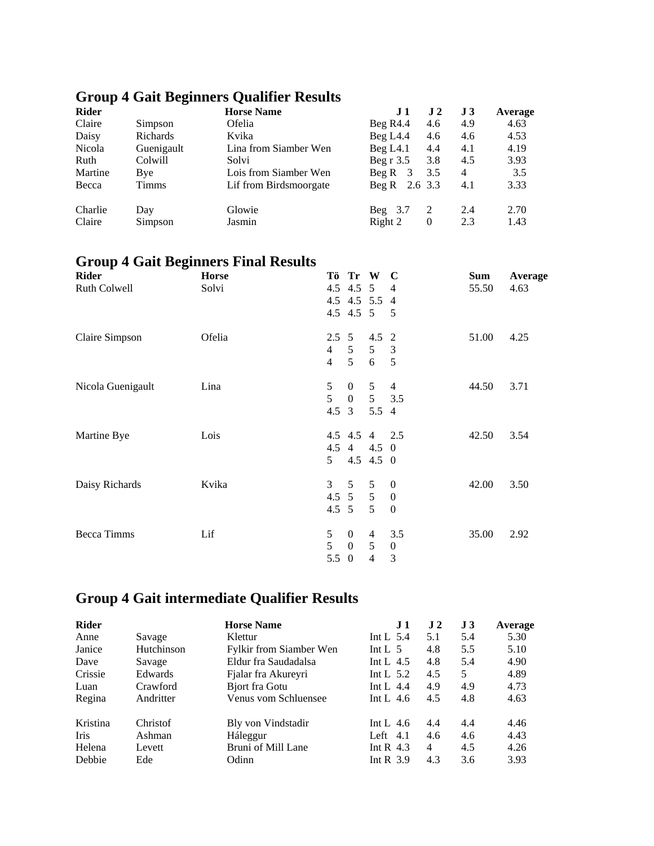## **Group 4 Gait Beginners Qualifier Results**

| <b>Rider</b> |                 | <b>Horse Name</b>      | J <sub>1</sub>   | J <sub>2</sub> | J3  | Average |
|--------------|-----------------|------------------------|------------------|----------------|-----|---------|
| Claire       | Simpson         | Ofelia                 | Beg R4.4         | 4.6            | 4.9 | 4.63    |
| Daisy        | <b>Richards</b> | Kvika                  | Beg L4.4         | 4.6            | 4.6 | 4.53    |
| Nicola       | Guenigault      | Lina from Siamber Wen  | Beg L4.1         | 4.4            | 4.1 | 4.19    |
| Ruth         | Colwill         | Solvi                  | Beg $r$ 3.5      | 3.8            | 4.5 | 3.93    |
| Martine      | Bye             | Lois from Siamber Wen  | 3<br>Beq R       | 3.5            | 4   | 3.5     |
| Becca        | Timms           | Lif from Birdsmoorgate | Beg R<br>2.6 3.3 |                | 4.1 | 3.33    |
| Charlie      | Day             | Glowie                 | Beg $3.7$        | 2              | 2.4 | 2.70    |
| Claire       | Simpson         | Jasmin                 | Right 2          | $\Omega$       | 2.3 | 1.43    |

# **Group 4 Gait Beginners Final Results**

| <b>Rider</b><br>Ruth Colwell | <b>Horse</b><br>Solvi | Тö                                                | Tr<br>4.5 4.5 5<br>4.5 4.5 5                         | W<br>4.5 4.5 5.5 4                          | $\mathbf C$<br>$\overline{4}$<br>-5                      | <b>Sum</b><br>55.50 | Average<br>4.63 |
|------------------------------|-----------------------|---------------------------------------------------|------------------------------------------------------|---------------------------------------------|----------------------------------------------------------|---------------------|-----------------|
| Claire Simpson               | Ofelia                | $2.5 \quad 5$<br>$\overline{4}$<br>$\overline{4}$ | 5 <sup>5</sup><br>5 <sup>5</sup>                     | $4.5 \t2$<br>5 <sup>5</sup><br>6            | 3<br>5                                                   | 51.00               | 4.25            |
| Nicola Guenigault            | Lina                  | 5<br>5<br>4.5                                     | $\boldsymbol{0}$<br>$\overline{0}$<br>$\overline{3}$ | 5<br>$5 \t 3.5$<br>5.5 4                    | $\overline{4}$                                           | 44.50               | 3.71            |
| Martine Bye                  | Lois                  | 4.5<br>$\mathcal{5}$                              | $\overline{4}$                                       | 4.5 4.5 4 2.5<br>$4.5 \quad 0$<br>4.5 4.5 0 |                                                          | 42.50               | 3.54            |
| Daisy Richards               | Kvika                 | 3<br>$4.5 \quad 5$                                | 5<br>$4.5 \quad 5$                                   | 5<br>5<br>5                                 | $\boldsymbol{0}$<br>$\boldsymbol{0}$<br>$\boldsymbol{0}$ | 42.00               | 3.50            |
| Becca Timms                  | Lif                   | 5<br>5<br>$5.5 \quad 0$                           | $\mathbf{0}$<br>$\boldsymbol{0}$                     | 4<br>5<br>4                                 | 3.5<br>$\boldsymbol{0}$<br>3                             | 35.00               | 2.92            |

# **Group 4 Gait intermediate Qualifier Results**

| <b>Rider</b> |            | <b>Horse Name</b>              | J 1          | J <sub>2</sub> | $\bf J$ 3 | Average |
|--------------|------------|--------------------------------|--------------|----------------|-----------|---------|
| Anne         | Savage     | Klettur                        | Int L $5.4$  | 5.1            | 5.4       | 5.30    |
| Janice       | Hutchinson | <b>Fylkir from Siamber Wen</b> | Int L $\,$ 5 | 4.8            | 5.5       | 5.10    |
| Dave         | Savage     | Eldur fra Saudadalsa           | Int L $4.5$  | 4.8            | 5.4       | 4.90    |
| Crissie      | Edwards    | Fjalar fra Akureyri            | Int L $5.2$  | 4.5            | 5         | 4.89    |
| Luan         | Crawford   | Bjort fra Gotu                 | Int L $4.4$  | 4.9            | 4.9       | 4.73    |
| Regina       | Andritter  | Venus vom Schluensee           | Int L $4.6$  | 4.5            | 4.8       | 4.63    |
| Kristina     | Christof   | Bly von Vindstadir             | Int L $4.6$  | 4.4            | 4.4       | 4.46    |
| <b>Iris</b>  | Ashman     | Háleggur                       | 4.1<br>Left  | 4.6            | 4.6       | 4.43    |
| Helena       | Levett     | Bruni of Mill Lane             | Int R $4.3$  | 4              | 4.5       | 4.26    |
| Debbie       | Ede        | Odinn                          | Int R $3.9$  | 4.3            | 3.6       | 3.93    |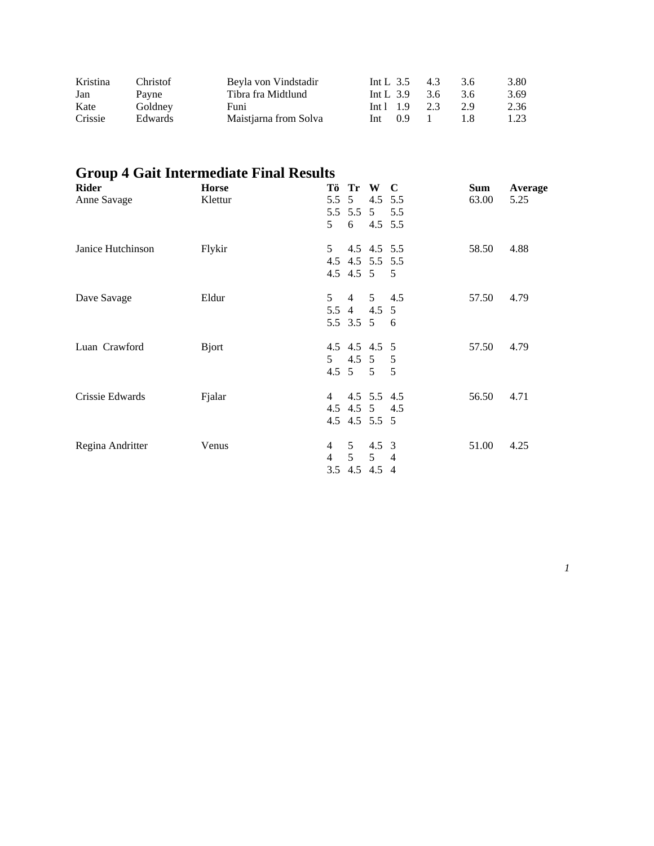| Kristina | Christof       | Beyla von Vindstadir  | Int L $3.5$ 4.3   |            | 3.6 | 3.80 |
|----------|----------------|-----------------------|-------------------|------------|-----|------|
| Jan      | Payne          | Tibra fra Midtlund    | Int L $3.9$ $3.6$ |            | 3.6 | 3.69 |
| Kate     | Goldney        | Funi                  | Int1 1.9 2.3      |            | 29  | 2.36 |
| Crissie  | <b>Edwards</b> | Maistiarna from Solva | $Int \t0.9$       | $\sim$ 1.0 | 1.8 | 1.23 |

## **Group 4 Gait Intermediate Final Results**

| Rider<br>Anne Savage | <b>Horse</b><br>Klettur | Тö<br>5 <sup>7</sup> | Tr                          | W C<br>5.5 5 4.5 5.5<br>5.5 5.5 5<br>$6\quad 4.5\quad 5.5$ | 5.5            | Sum<br>63.00 | Average<br>5.25 |
|----------------------|-------------------------|----------------------|-----------------------------|------------------------------------------------------------|----------------|--------------|-----------------|
| Janice Hutchinson    | Flykir                  | 5 <sup>7</sup>       |                             | 4.5 4.5 5.5<br>4.5 4.5 5.5 5.5<br>4.5 4.5 5 5              |                | 58.50        | 4.88            |
| Dave Savage          | Eldur                   | 5 <sup>5</sup>       | $\overline{4}$<br>5.5 3.5 5 | $5^{\circ}$<br>5.5 4 4.5 5                                 | 4.5<br>- 6     | 57.50        | 4.79            |
| Luan Crawford        | <b>B</b> jort           |                      |                             | 4.5 4.5 4.5 5<br>$5$ 4.5 5 5<br>4.5 5 5                    | 5              | 57.50        | 4.79            |
| Crissie Edwards      | Fjalar                  | $4 \quad$            |                             | 4.5 5.5 4.5<br>4.5 4.5 5 4.5<br>4.5 4.5 5.5 5              |                | 56.50        | 4.71            |
| Regina Andritter     | Venus                   | 4<br>$\overline{4}$  | 5 <sup>5</sup>              | $5 \t 4.5 \t 3$<br>5 <sup>5</sup><br>3.5 4.5 4.5 4         | $\overline{4}$ | 51.00        | 4.25            |

*1*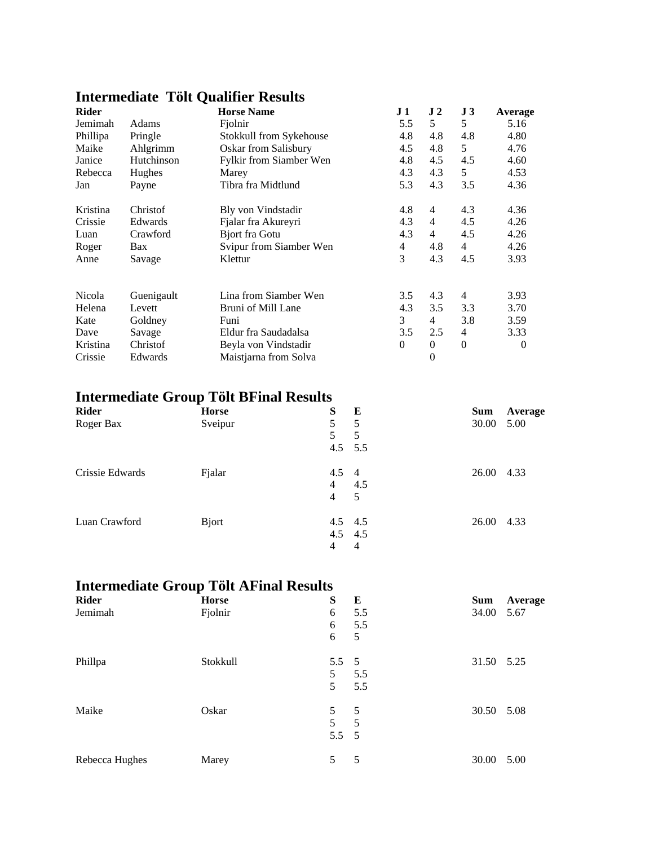| <b>Rider</b> |            | <b>Horse Name</b>              | J 1            | J <sub>2</sub> | $\bf J3$       | Average  |
|--------------|------------|--------------------------------|----------------|----------------|----------------|----------|
| Jemimah      | Adams      | Fjolnir                        | 5.5            | 5              | 5              | 5.16     |
| Phillipa     | Pringle    | Stokkull from Sykehouse        | 4.8            | 4.8            | 4.8            | 4.80     |
| Maike        | Ahlgrimm   | <b>Oskar from Salisbury</b>    | 4.5            | 4.8            | 5              | 4.76     |
| Janice       | Hutchinson | <b>Fylkir from Siamber Wen</b> | 4.8            | 4.5            | 4.5            | 4.60     |
| Rebecca      | Hughes     | Marey                          | 4.3            | 4.3            | 5              | 4.53     |
| Jan          | Payne      | Tibra fra Midtlund             | 5.3            | 4.3            | 3.5            | 4.36     |
| Kristina     | Christof   | Bly von Vindstadir             | 4.8            | 4              | 4.3            | 4.36     |
| Crissie      | Edwards    | Fjalar fra Akureyri            | 4.3            | 4              | 4.5            | 4.26     |
| Luan         | Crawford   | Bjort fra Gotu                 | 4.3            | 4              | 4.5            | 4.26     |
| Roger        | Bax        | Svipur from Siamber Wen        | 4              | 4.8            | $\overline{4}$ | 4.26     |
| Anne         | Savage     | Klettur                        | 3              | 4.3            | 4.5            | 3.93     |
| Nicola       | Guenigault | Lina from Siamber Wen          | 3.5            | 4.3            | $\overline{4}$ | 3.93     |
| Helena       | Levett     | Bruni of Mill Lane             | 4.3            | 3.5            | 3.3            | 3.70     |
| Kate         | Goldney    | Funi                           | 3              | 4              | 3.8            | 3.59     |
| Dave         | Savage     | Eldur fra Saudadalsa           | 3.5            | 2.5            | 4              | 3.33     |
| Kristina     | Christof   | Beyla von Vindstadir           | $\overline{0}$ | 0              | $\theta$       | $\theta$ |
| Crissie      | Edwards    | Maistjarna from Solva          |                | 0              |                |          |

#### **Intermediate Tölt Qualifier Results**

# **Intermediate Group Tölt BFinal Results**

| <b>Rider</b>    | <b>Horse</b>  | S              | E              | Sum   | Average |
|-----------------|---------------|----------------|----------------|-------|---------|
| Roger Bax       | Sveipur       | 5              | 5              | 30.00 | 5.00    |
|                 |               | 5              | 5              |       |         |
|                 |               | $4.5$ 5.5      |                |       |         |
| Crissie Edwards | Fjalar        | $4.5 \quad 4$  |                | 26.00 | 4.33    |
|                 |               | $\overline{4}$ | 4.5            |       |         |
|                 |               | $\overline{4}$ | 5              |       |         |
| Luan Crawford   | <b>B</b> jort | $4.5$ $4.5$    |                | 26.00 | 4.33    |
|                 |               | $4.5$ $4.5$    |                |       |         |
|                 |               | 4              | $\overline{4}$ |       |         |

# **Intermediate Group Tölt AFinal Results**

| <b>Rider</b>   | <b>Horse</b> | S            | E   | <b>Sum</b> | Average |
|----------------|--------------|--------------|-----|------------|---------|
| Jemimah        | Fjolnir      | 6            | 5.5 | 34.00 5.67 |         |
|                |              | 6            | 5.5 |            |         |
|                |              | 6            | 5   |            |         |
| Phillpa        | Stokkull     | $5.5\quad 5$ |     | 31.50 5.25 |         |
|                |              | 5            | 5.5 |            |         |
|                |              | 5            | 5.5 |            |         |
| Maike          | Oskar        | 5            | -5  | 30.50 5.08 |         |
|                |              | $5\qquad 5$  |     |            |         |
|                |              | $5.5\quad 5$ |     |            |         |
| Rebecca Hughes | Marey        | 5            | 5   | 30.00      | 5.00    |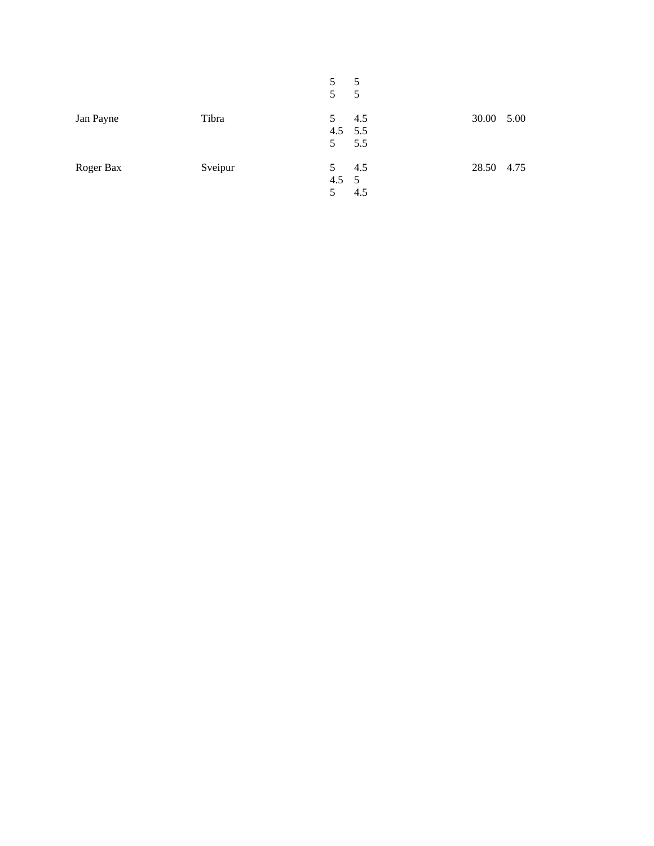|           |         | 5<br>5 <sup>5</sup> | 5<br>$5\overline{)}$ |            |      |
|-----------|---------|---------------------|----------------------|------------|------|
| Jan Payne | Tibra   | 5                   | 4.5<br>$4.5$ 5.5     | 30.00      | 5.00 |
| Roger Bax | Sveipur | 5<br>5              | 5.5<br>4.5           | 28.50 4.75 |      |
|           |         | $4.5 \quad 5$<br>5  | 4.5                  |            |      |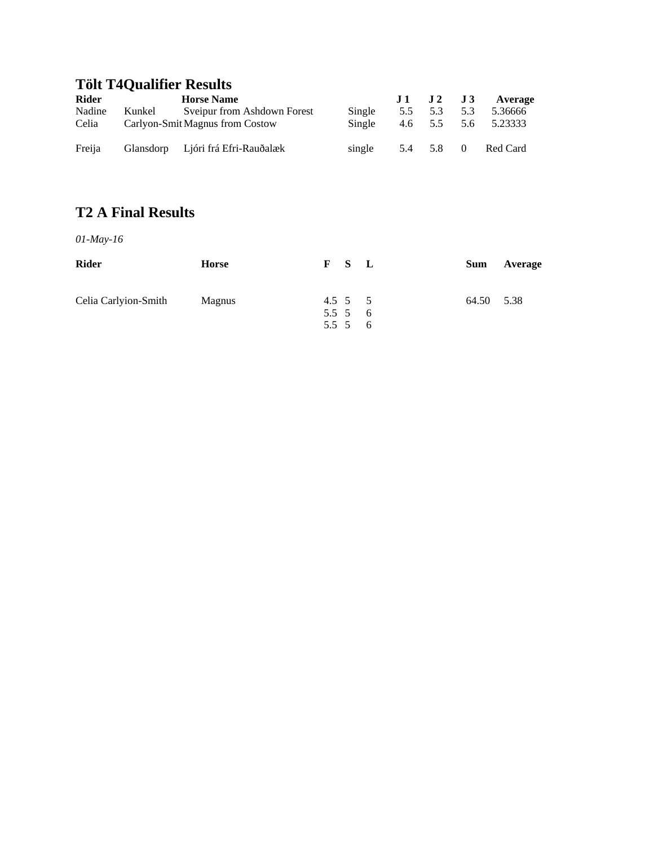## **Tölt T4Qualifier Results**

| <b>Rider</b> |                                 | <b>Horse Name</b>                 |        | $J1$ $J2$ $J3$ |     | Average     |
|--------------|---------------------------------|-----------------------------------|--------|----------------|-----|-------------|
| Nadine       | Kunkel                          | Sveipur from Ashdown Forest       | Single | 5.5 5.3        | 5.3 | 5.36666     |
| Celia        | Carlyon-Smit Magnus from Costow |                                   | Single | 4.6 5.5        |     | 5.6 5.23333 |
| Freija       |                                 | Glansdorp Ljóri frá Efri-Rauðalæk | single | 5.4 5.8 0      |     | Red Card    |

#### **T2 A Final Results**

*01-May-16*

| <b>Rider</b>         | <b>Horse</b>  | F S L   | <b>Sum</b><br>Average |
|----------------------|---------------|---------|-----------------------|
| Celia Carlyion-Smith | <b>Magnus</b> | 4.5 5 5 | 64.50 5.38            |
|                      |               | 5.5 5 6 |                       |
|                      |               | 5.5 5 6 |                       |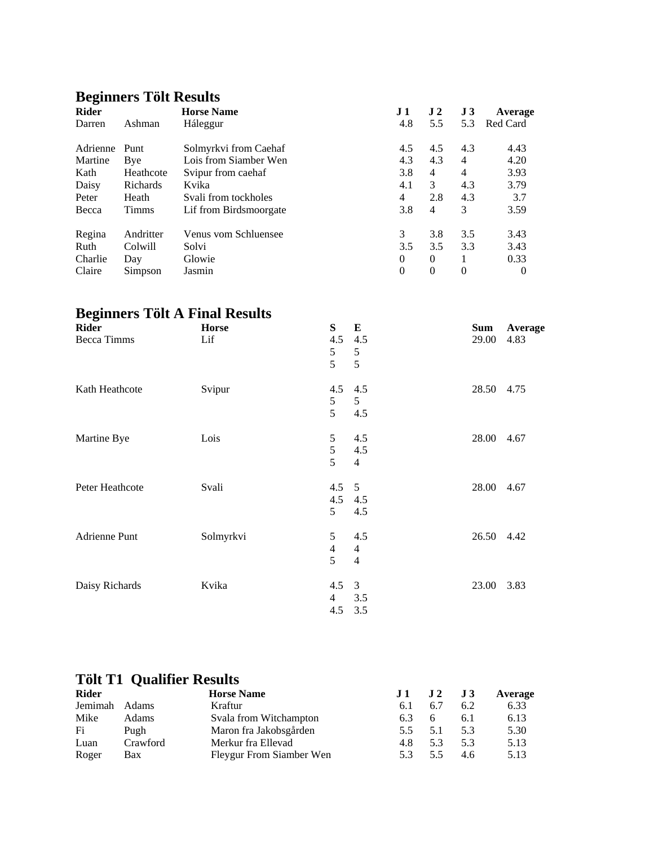# **Beginners Tölt Results**

| <b>Rider</b> |              | <b>Horse Name</b>      | J <sub>1</sub> | J <sub>2</sub> | J3       | Average  |
|--------------|--------------|------------------------|----------------|----------------|----------|----------|
| Darren       | Ashman       | Háleggur               | 4.8            | 5.5            | 5.3      | Red Card |
| Adrienne     | Punt         | Solmyrkvi from Caehaf  | 4.5            | 4.5            | 4.3      | 4.43     |
| Martine      | Bye          | Lois from Siamber Wen  | 4.3            | 4.3            | 4        | 4.20     |
| Kath         | Heathcote    | Svipur from caehaf     | 3.8            | 4              | 4        | 3.93     |
| Daisy        | Richards     | Kvika                  | 4.1            | 3              | 4.3      | 3.79     |
| Peter        | Heath        | Svali from tockholes   | 4              | 2.8            | 4.3      | 3.7      |
| Becca        | <b>Timms</b> | Lif from Birdsmoorgate | 3.8            | 4              | 3        | 3.59     |
| Regina       | Andritter    | Venus vom Schluensee   | 3              | 3.8            | 3.5      | 3.43     |
| Ruth         | Colwill      | Solvi                  | 3.5            | 3.5            | 3.3      | 3.43     |
| Charlie      | Day          | Glowie                 | $\Omega$       | $\Omega$       |          | 0.33     |
| Claire       | Simpson      | Jasmin                 | 0              | $\Omega$       | $\Omega$ | $\Omega$ |

# **Beginners Tölt A Final Results**

| <b>Rider</b>         | <b>Horse</b> | S<br>E                           | <b>Sum</b><br>Average |
|----------------------|--------------|----------------------------------|-----------------------|
| Becca Timms          | Lif          | 4.5<br>4.5                       | 29.00<br>4.83         |
|                      |              | 5<br>5                           |                       |
|                      |              | 5<br>5                           |                       |
| Kath Heathcote       | Svipur       | 4.5<br>4.5                       | 28.50 4.75            |
|                      |              | 5<br>$5\overline{)}$             |                       |
|                      |              | 5<br>4.5                         |                       |
| Martine Bye          | Lois         | 5<br>4.5                         | 28.00 4.67            |
|                      |              | 5<br>4.5                         |                       |
|                      |              | 5<br>$\overline{4}$              |                       |
| Peter Heathcote      | Svali        | $4.5 \quad 5$                    | 28.00<br>4.67         |
|                      |              | 4.5 4.5                          |                       |
|                      |              | 5<br>4.5                         |                       |
| <b>Adrienne Punt</b> | Solmyrkvi    | 5<br>4.5                         | 26.50 4.42            |
|                      |              | $\overline{4}$<br>$\overline{4}$ |                       |
|                      |              | 5<br>$\overline{4}$              |                       |
| Daisy Richards       | Kvika        | $4.5 \quad 3$                    | 23.00 3.83            |
|                      |              | $\overline{4}$<br>3.5            |                       |
|                      |              | 4.5<br>3.5                       |                       |

## **Tölt T1 Qualifier Results**

| <b>Rider</b> |              | <b>Horse Name</b>        | J1  | J2           | $\bf J3$ | Average |
|--------------|--------------|--------------------------|-----|--------------|----------|---------|
| Jemimah      | <b>Adams</b> | Kraftur                  | 6.1 | 6.7          | 6.2      | 6.33    |
| Mike         | Adams        | Svala from Witchampton   | 6.3 | <sub>6</sub> | 6.1      | 6.13    |
| Fi           | Pugh         | Maron fra Jakobsgården   | 5.5 | 5.1          | 5.3      | 5.30    |
| Luan         | Crawford     | Merkur fra Ellevad       | 4.8 | 5.3          | 5.3      | 5.13    |
| Roger        | Bax          | Fleygur From Siamber Wen | 53  | 55           | 4.6      | 5.13    |